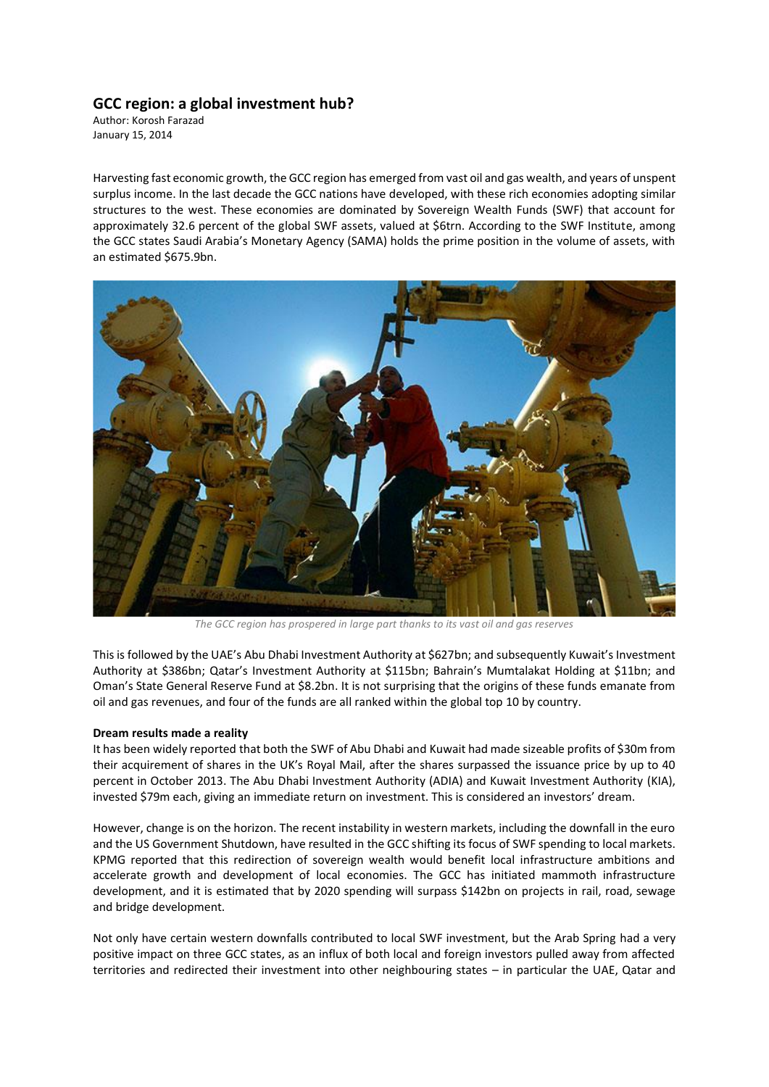## **GCC region: a global investment hub?**

Author: Korosh Farazad January 15, 2014

Harvesting fast economic growth, the GCC region has emerged from vast oil and gas wealth, and years of unspent surplus income. In the last decade the GCC nations have developed, with these rich economies adopting similar structures to the west. These economies are dominated by Sovereign Wealth Funds (SWF) that account for approximately 32.6 percent of the global SWF assets, valued at \$6trn. According to the SWF Institute, among the GCC states Saudi Arabia's Monetary Agency (SAMA) holds the prime position in the volume of assets, with an estimated \$675.9bn.



*The GCC region has prospered in large part thanks to its vast oil and gas reserves*

This is followed by the UAE's Abu Dhabi Investment Authority at \$627bn; and subsequently Kuwait's Investment Authority at \$386bn; Qatar's Investment Authority at \$115bn; Bahrain's Mumtalakat Holding at \$11bn; and Oman's State General Reserve Fund at \$8.2bn. It is not surprising that the origins of these funds emanate from oil and gas revenues, and four of the funds are all ranked within the global top 10 by country.

## **Dream results made a reality**

It has been widely reported that both the SWF of Abu Dhabi and Kuwait had made sizeable profits of \$30m from their acquirement of shares in the UK's Royal Mail, after the shares surpassed the issuance price by up to 40 percent in October 2013. The Abu Dhabi Investment Authority (ADIA) and Kuwait Investment Authority (KIA), invested \$79m each, giving an immediate return on investment. This is considered an investors' dream.

However, change is on the horizon. The recent instability in western markets, including the downfall in the euro and the US Government Shutdown, have resulted in the GCC shifting its focus of SWF spending to local markets. KPMG reported that this redirection of sovereign wealth would benefit local infrastructure ambitions and accelerate growth and development of local economies. The GCC has initiated mammoth infrastructure development, and it is estimated that by 2020 spending will surpass \$142bn on projects in rail, road, sewage and bridge development.

Not only have certain western downfalls contributed to local SWF investment, but the Arab Spring had a very positive impact on three GCC states, as an influx of both local and foreign investors pulled away from affected territories and redirected their investment into other neighbouring states – in particular the UAE, Qatar and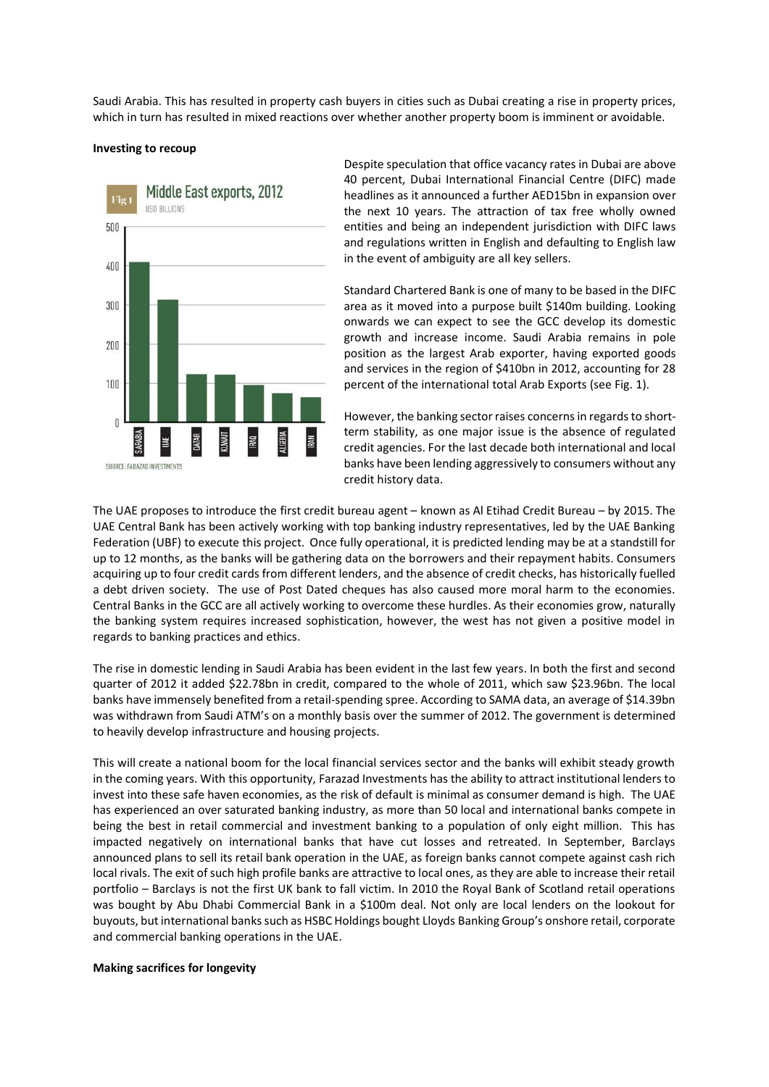Saudi Arabia. This has resulted in property cash buyers in cities such as Dubai creating a rise in property prices, which in turn has resulted in mixed reactions over whether another property boom is imminent or avoidable.

## **Investing to recoup**



Despite speculation that office vacancy rates in Dubai are above 40 percent, Dubai International Financial Centre (DIFC) made headlines as it announced a further AED15bn in expansion over the next 10 years. The attraction of tax free wholly owned entities and being an independent jurisdiction with DIFC laws and regulations written in English and defaulting to English law in the event of ambiguity are all key sellers.

Standard Chartered Bank is one of many to be based in the DIFC area as it moved into a purpose built \$140m building. Looking onwards we can expect to see the GCC develop its domestic growth and increase income. Saudi Arabia remains in pole position as the largest Arab exporter, having exported goods and services in the region of \$410bn in 2012, accounting for 28 percent of the international total Arab Exports (see Fig. 1).

However, the banking sector raises concerns in regards to shortterm stability, as one major issue is the absence of regulated credit agencies. For the last decade both international and local banks have been lending aggressively to consumers without any credit history data.

The UAE proposes to introduce the first credit bureau agent – known as Al Etihad Credit Bureau – by 2015. The UAE Central Bank has been actively working with top banking industry representatives, led by the UAE Banking Federation (UBF) to execute this project. Once fully operational, it is predicted lending may be at a standstill for up to 12 months, as the banks will be gathering data on the borrowers and their repayment habits. Consumers acquiring up to four credit cards from different lenders, and the absence of credit checks, has historically fuelled a debt driven society. The use of Post Dated cheques has also caused more moral harm to the economies. Central Banks in the GCC are all actively working to overcome these hurdles. As their economies grow, naturally the banking system requires increased sophistication, however, the west has not given a positive model in regards to banking practices and ethics.

The rise in domestic lending in Saudi Arabia has been evident in the last few years. In both the first and second quarter of 2012 it added \$22.78bn in credit, compared to the whole of 2011, which saw \$23.96bn. The local banks have immensely benefited from a retail-spending spree. According to SAMA data, an average of \$14.39bn was withdrawn from Saudi ATM's on a monthly basis over the summer of 2012. The government is determined to heavily develop infrastructure and housing projects.

This will create a national boom for the local financial services sector and the banks will exhibit steady growth in the coming years. With this opportunity, Farazad Investments has the ability to attract institutional lenders to invest into these safe haven economies, as the risk of default is minimal as consumer demand is high. The UAE has experienced an over saturated banking industry, as more than 50 local and international banks compete in being the best in retail commercial and investment banking to a population of only eight million. This has impacted negatively on international banks that have cut losses and retreated. In September, Barclays announced plans to sell its retail bank operation in the UAE, as foreign banks cannot compete against cash rich local rivals. The exit of such high profile banks are attractive to local ones, as they are able to increase their retail portfolio – Barclays is not the first UK bank to fall victim. In 2010 the Royal Bank of Scotland retail operations was bought by Abu Dhabi Commercial Bank in a \$100m deal. Not only are local lenders on the lookout for buyouts, but international banks such as HSBC Holdings bought Lloyds Banking Group's onshore retail, corporate and commercial banking operations in the UAE.

## **Making sacrifices for longevity**